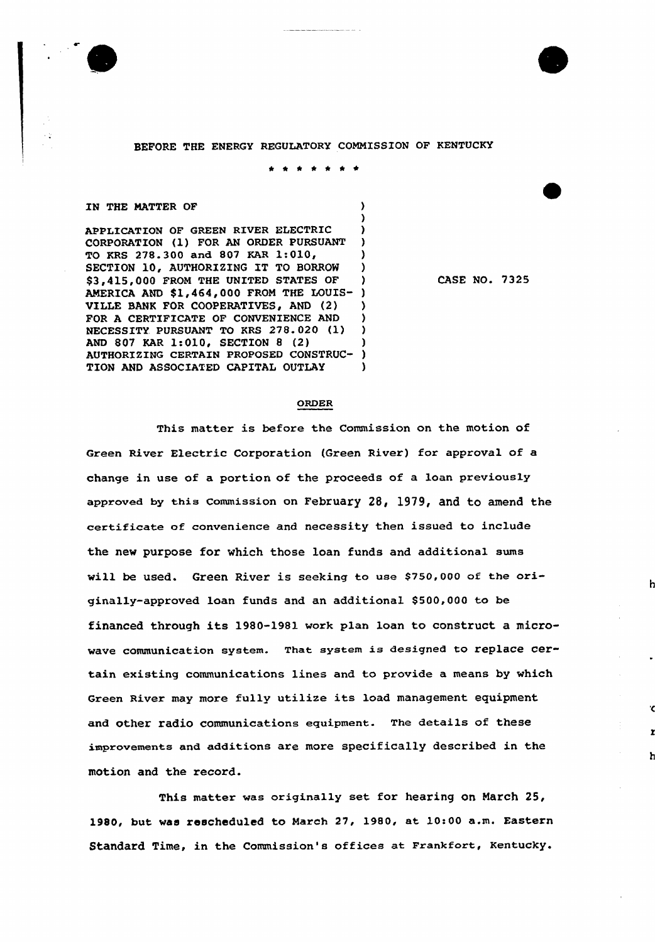



\* \* <sup>~</sup> <sup>~</sup> \* \*

)

## IN THE MATTER OF  $)$

APPLICATION OF GREEN RIVER ELECTRIC ) CORPORATION (1) FOR AN ORDER PURSUANT TO KRS 278.300 and 807 KAR 1:010, ) SECTION 10, AUTHORIZING IT TO BORROW ) \$3,415,000 FROM THE UNITED STATES OF ) AMERICA AND \$1,464,000 FROM THE LOUIS- ) VILLE BANK FOR COOPERATIVES, AND (2) ) FOR A CERTIFICATE OF CONVENIENCE AND NECESSITY. PURSUANT TO KRS 278.020 (1) ) AND 807 KAR 1:010, SECTION 8 (2) (2) (2) ) AUTHORIZING CERTAIN PROPOSED CONSTRUC-AUTHORIZING CERTAIN PROPOSED CONSTRUC-TION AND ASSOCIATED CAPITAL OUTLAY )

CASE NO. 7325

## ORDER

This matter is before the Commission on the motion of Green River Electric Corporation (Green River) for approval of a change in use of a portion of the proceeds of a loan previously approved by this commission on FebruarY 28, 1979, and to amend the certificate of convenience and necessity then issued to include the new purpose for which those loan funds and additional sums will be used. Green River is seeking to use 8750,000 of the originally-approved loan funds and an additionaL \$ 500,000 to be financed through its 1980-1981 work plan loan to construct a microwave communication system. That system is designed to replace certain existing communications lines and to pxovide a means by which Green River may more fully utilize its load management equipment and other radio communications equipment. The details of these improvements and additions are more specifically described in the motion and the record.

This matter was originally set for hearing on March 25, 1980, but was rescheduled to March 27, 1980, at 10:00 a.m. Eastern Standard Time, in the Commission's offices at Frankfort, Kentucky.

h

h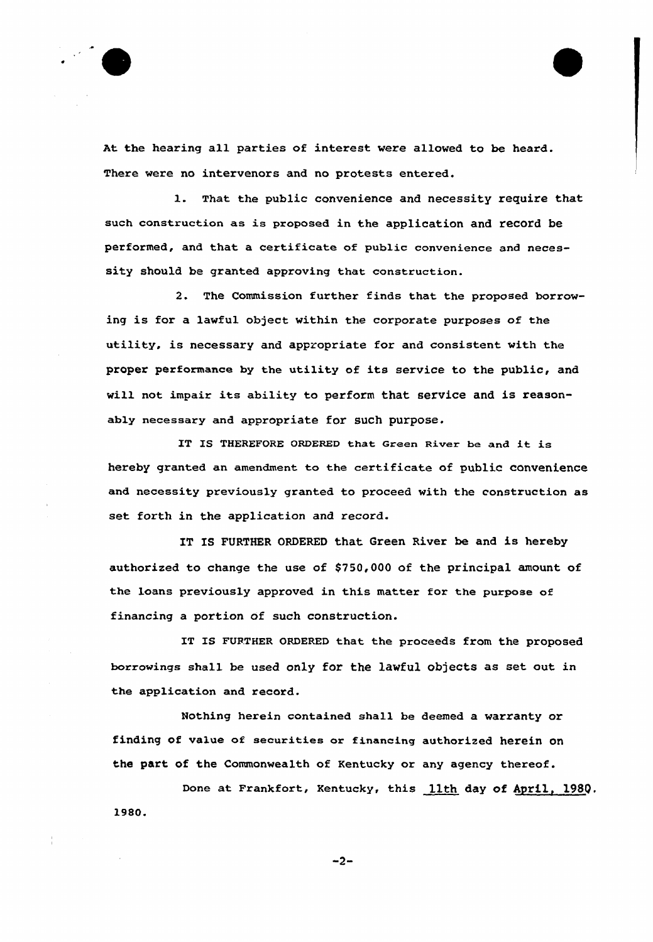

At the hearing all parties of interest were allowed to be heard. There were no intervenors and no protests entered.

1. That the public convenience and necessity require that such construction as is proposed in the application and record be performed, and that a certificate of public convenience and necessity should be granted approving that construction.

2. The Commission further finds that the proposed borrowing is for a lawful object within the corporate purposes of the utility, is necessary and appropriate for and consistent with the proper performance by the utility of its service to the public, and will not impair its ability to perform that service and is reasonably necessary and appropriate for such purpose.

IT IS THEREFORE ORDERED that Green River be and it is hereby granted an amendment. to the certificate of public convenience and necessity previously granted to proceed with the construction as set forth in the application and record.

IT IS FURTHER ORDERED that Green River be and is hereby authorized to change the use of \$750,000 of the principal amount of the loans previously approved in this matter for the purpose of financing a portion of such construction.

IT IS FURTHER ORDERED that the proceeds from the proposed borrowings shall be used only for the lawful objects as set out in the application and record.

Nothing herein contained shall be deemed a warranty or finding of value of secuxities ox financing authoxized herein on the part of the Commonwealth of Kentucky or any agency thereof.

Done at Frankfort, Kentucky, this 11th day of April, 198p. l980.

 $-2-$